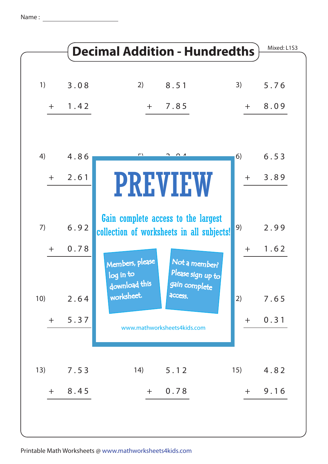